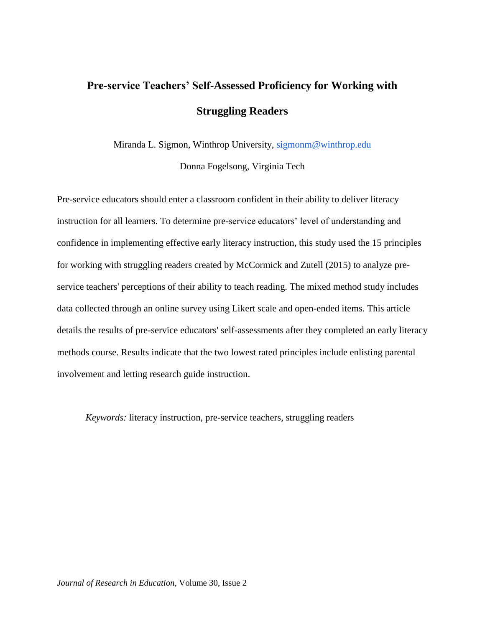# **Pre-service Teachers' Self-Assessed Proficiency for Working with Struggling Readers**

Miranda L. Sigmon, Winthrop University, [sigmonm@winthrop.edu](mailto:sigmonm@winthrop.edu)

Donna Fogelsong, Virginia Tech

Pre-service educators should enter a classroom confident in their ability to deliver literacy instruction for all learners. To determine pre-service educators' level of understanding and confidence in implementing effective early literacy instruction, this study used the 15 principles for working with struggling readers created by McCormick and Zutell (2015) to analyze preservice teachers' perceptions of their ability to teach reading. The mixed method study includes data collected through an online survey using Likert scale and open-ended items. This article details the results of pre-service educators' self-assessments after they completed an early literacy methods course. Results indicate that the two lowest rated principles include enlisting parental involvement and letting research guide instruction.

*Keywords:* literacy instruction, pre-service teachers, struggling readers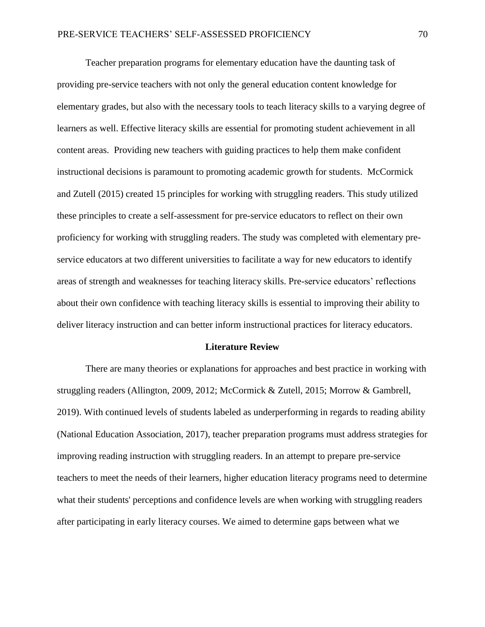Teacher preparation programs for elementary education have the daunting task of providing pre-service teachers with not only the general education content knowledge for elementary grades, but also with the necessary tools to teach literacy skills to a varying degree of learners as well. Effective literacy skills are essential for promoting student achievement in all content areas. Providing new teachers with guiding practices to help them make confident instructional decisions is paramount to promoting academic growth for students. McCormick and Zutell (2015) created 15 principles for working with struggling readers. This study utilized these principles to create a self-assessment for pre-service educators to reflect on their own proficiency for working with struggling readers. The study was completed with elementary preservice educators at two different universities to facilitate a way for new educators to identify areas of strength and weaknesses for teaching literacy skills. Pre-service educators' reflections about their own confidence with teaching literacy skills is essential to improving their ability to deliver literacy instruction and can better inform instructional practices for literacy educators.

#### **Literature Review**

There are many theories or explanations for approaches and best practice in working with struggling readers (Allington, 2009, 2012; McCormick & Zutell, 2015; Morrow & Gambrell, 2019). With continued levels of students labeled as underperforming in regards to reading ability (National Education Association, 2017), teacher preparation programs must address strategies for improving reading instruction with struggling readers. In an attempt to prepare pre-service teachers to meet the needs of their learners, higher education literacy programs need to determine what their students' perceptions and confidence levels are when working with struggling readers after participating in early literacy courses. We aimed to determine gaps between what we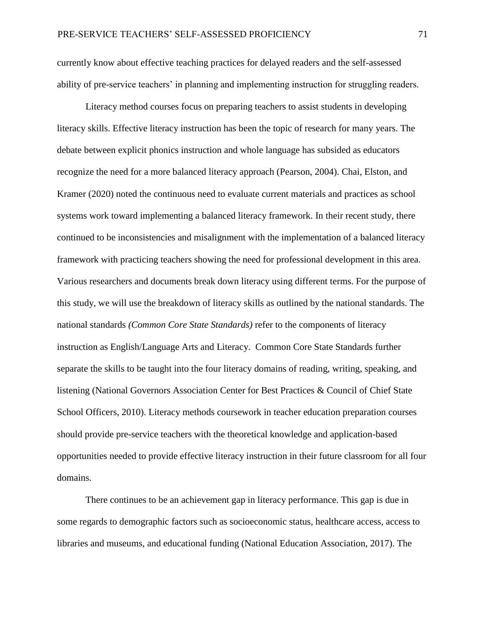currently know about effective teaching practices for delayed readers and the self-assessed ability of pre-service teachers' in planning and implementing instruction for struggling readers.

Literacy method courses focus on preparing teachers to assist students in developing literacy skills. Effective literacy instruction has been the topic of research for many years. The debate between explicit phonics instruction and whole language has subsided as educators recognize the need for a more balanced literacy approach (Pearson, 2004). Chai, Elston, and Kramer (2020) noted the continuous need to evaluate current materials and practices as school systems work toward implementing a balanced literacy framework. In their recent study, there continued to be inconsistencies and misalignment with the implementation of a balanced literacy framework with practicing teachers showing the need for professional development in this area. Various researchers and documents break down literacy using different terms. For the purpose of this study, we will use the breakdown of literacy skills as outlined by the national standards. The national standards *(Common Core State Standards)* refer to the components of literacy instruction as English/Language Arts and Literacy. Common Core State Standards further separate the skills to be taught into the four literacy domains of reading, writing, speaking, and listening (National Governors Association Center for Best Practices & Council of Chief State School Officers, 2010). Literacy methods coursework in teacher education preparation courses should provide pre-service teachers with the theoretical knowledge and application-based opportunities needed to provide effective literacy instruction in their future classroom for all four domains.

There continues to be an achievement gap in literacy performance. This gap is due in some regards to demographic factors such as socioeconomic status, healthcare access, access to libraries and museums, and educational funding (National Education Association, 2017). The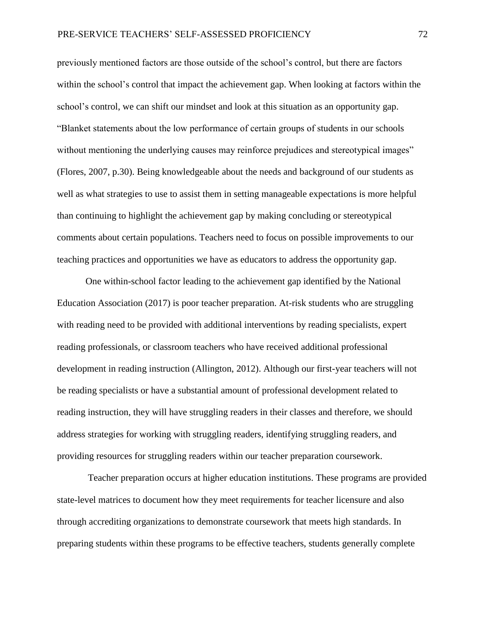previously mentioned factors are those outside of the school's control, but there are factors within the school's control that impact the achievement gap. When looking at factors within the school's control, we can shift our mindset and look at this situation as an opportunity gap. "Blanket statements about the low performance of certain groups of students in our schools without mentioning the underlying causes may reinforce prejudices and stereotypical images" (Flores, 2007, p.30). Being knowledgeable about the needs and background of our students as well as what strategies to use to assist them in setting manageable expectations is more helpful than continuing to highlight the achievement gap by making concluding or stereotypical comments about certain populations. Teachers need to focus on possible improvements to our teaching practices and opportunities we have as educators to address the opportunity gap.

One within-school factor leading to the achievement gap identified by the National Education Association (2017) is poor teacher preparation. At-risk students who are struggling with reading need to be provided with additional interventions by reading specialists, expert reading professionals, or classroom teachers who have received additional professional development in reading instruction (Allington, 2012). Although our first-year teachers will not be reading specialists or have a substantial amount of professional development related to reading instruction, they will have struggling readers in their classes and therefore, we should address strategies for working with struggling readers, identifying struggling readers, and providing resources for struggling readers within our teacher preparation coursework.

Teacher preparation occurs at higher education institutions. These programs are provided state-level matrices to document how they meet requirements for teacher licensure and also through accrediting organizations to demonstrate coursework that meets high standards. In preparing students within these programs to be effective teachers, students generally complete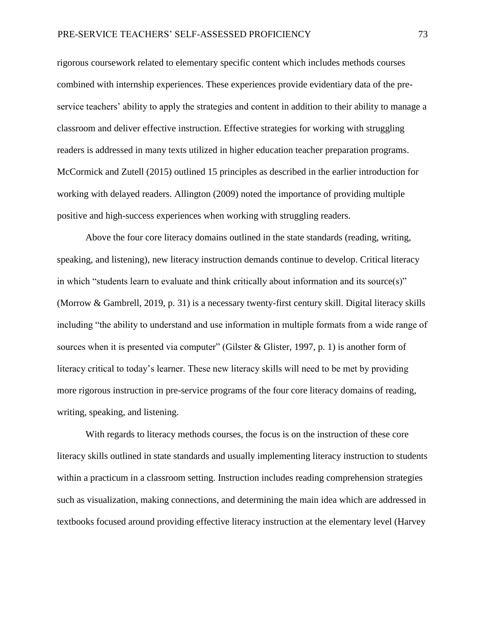rigorous coursework related to elementary specific content which includes methods courses combined with internship experiences. These experiences provide evidentiary data of the preservice teachers' ability to apply the strategies and content in addition to their ability to manage a classroom and deliver effective instruction. Effective strategies for working with struggling readers is addressed in many texts utilized in higher education teacher preparation programs. McCormick and Zutell (2015) outlined 15 principles as described in the earlier introduction for working with delayed readers. Allington (2009) noted the importance of providing multiple positive and high-success experiences when working with struggling readers.

Above the four core literacy domains outlined in the state standards (reading, writing, speaking, and listening), new literacy instruction demands continue to develop. Critical literacy in which "students learn to evaluate and think critically about information and its source(s)" (Morrow & Gambrell, 2019, p. 31) is a necessary twenty-first century skill. Digital literacy skills including "the ability to understand and use information in multiple formats from a wide range of sources when it is presented via computer" (Gilster & Glister, 1997, p. 1) is another form of literacy critical to today's learner. These new literacy skills will need to be met by providing more rigorous instruction in pre-service programs of the four core literacy domains of reading, writing, speaking, and listening.

With regards to literacy methods courses, the focus is on the instruction of these core literacy skills outlined in state standards and usually implementing literacy instruction to students within a practicum in a classroom setting. Instruction includes reading comprehension strategies such as visualization, making connections, and determining the main idea which are addressed in textbooks focused around providing effective literacy instruction at the elementary level (Harvey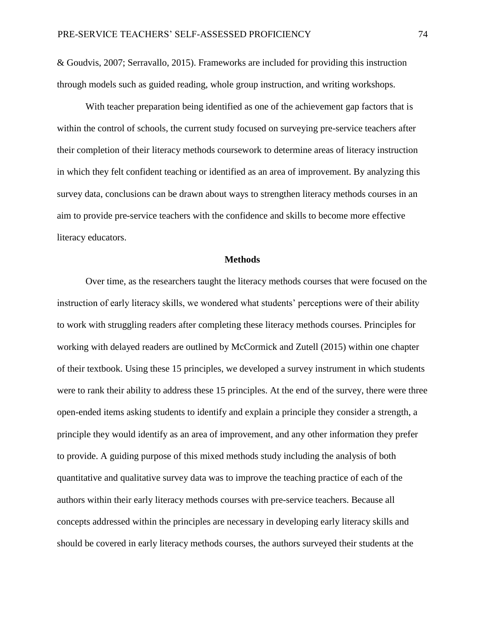& Goudvis, 2007; Serravallo, 2015). Frameworks are included for providing this instruction through models such as guided reading, whole group instruction, and writing workshops.

With teacher preparation being identified as one of the achievement gap factors that is within the control of schools, the current study focused on surveying pre-service teachers after their completion of their literacy methods coursework to determine areas of literacy instruction in which they felt confident teaching or identified as an area of improvement. By analyzing this survey data, conclusions can be drawn about ways to strengthen literacy methods courses in an aim to provide pre-service teachers with the confidence and skills to become more effective literacy educators.

#### **Methods**

Over time, as the researchers taught the literacy methods courses that were focused on the instruction of early literacy skills, we wondered what students' perceptions were of their ability to work with struggling readers after completing these literacy methods courses. Principles for working with delayed readers are outlined by McCormick and Zutell (2015) within one chapter of their textbook. Using these 15 principles, we developed a survey instrument in which students were to rank their ability to address these 15 principles. At the end of the survey, there were three open-ended items asking students to identify and explain a principle they consider a strength, a principle they would identify as an area of improvement, and any other information they prefer to provide. A guiding purpose of this mixed methods study including the analysis of both quantitative and qualitative survey data was to improve the teaching practice of each of the authors within their early literacy methods courses with pre-service teachers. Because all concepts addressed within the principles are necessary in developing early literacy skills and should be covered in early literacy methods courses, the authors surveyed their students at the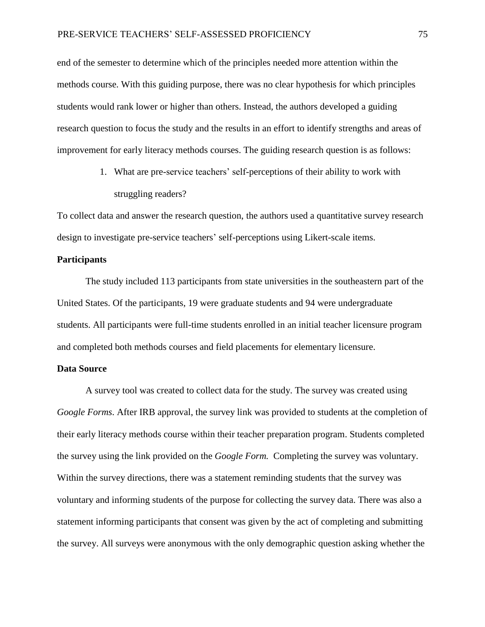end of the semester to determine which of the principles needed more attention within the methods course. With this guiding purpose, there was no clear hypothesis for which principles students would rank lower or higher than others. Instead, the authors developed a guiding research question to focus the study and the results in an effort to identify strengths and areas of improvement for early literacy methods courses. The guiding research question is as follows:

> 1. What are pre-service teachers' self-perceptions of their ability to work with struggling readers?

To collect data and answer the research question, the authors used a quantitative survey research design to investigate pre-service teachers' self-perceptions using Likert-scale items.

# **Participants**

The study included 113 participants from state universities in the southeastern part of the United States. Of the participants, 19 were graduate students and 94 were undergraduate students. All participants were full-time students enrolled in an initial teacher licensure program and completed both methods courses and field placements for elementary licensure.

## **Data Source**

A survey tool was created to collect data for the study. The survey was created using *Google Forms*. After IRB approval, the survey link was provided to students at the completion of their early literacy methods course within their teacher preparation program. Students completed the survey using the link provided on the *Google Form.* Completing the survey was voluntary. Within the survey directions, there was a statement reminding students that the survey was voluntary and informing students of the purpose for collecting the survey data. There was also a statement informing participants that consent was given by the act of completing and submitting the survey. All surveys were anonymous with the only demographic question asking whether the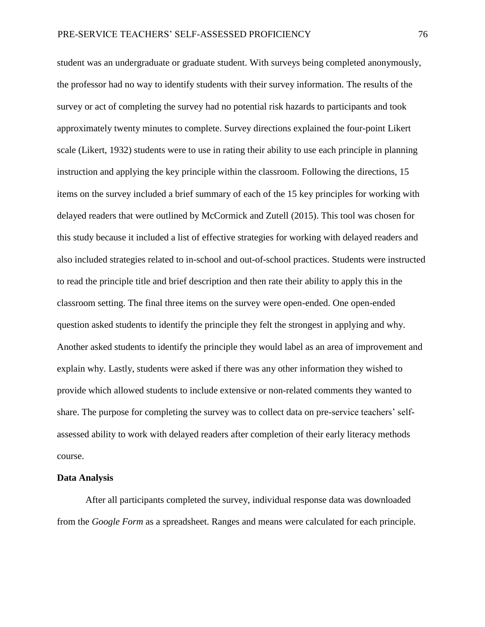student was an undergraduate or graduate student. With surveys being completed anonymously, the professor had no way to identify students with their survey information. The results of the survey or act of completing the survey had no potential risk hazards to participants and took approximately twenty minutes to complete. Survey directions explained the four-point Likert scale (Likert, 1932) students were to use in rating their ability to use each principle in planning instruction and applying the key principle within the classroom. Following the directions, 15 items on the survey included a brief summary of each of the 15 key principles for working with delayed readers that were outlined by McCormick and Zutell (2015). This tool was chosen for this study because it included a list of effective strategies for working with delayed readers and also included strategies related to in-school and out-of-school practices. Students were instructed to read the principle title and brief description and then rate their ability to apply this in the classroom setting. The final three items on the survey were open-ended. One open-ended question asked students to identify the principle they felt the strongest in applying and why. Another asked students to identify the principle they would label as an area of improvement and explain why. Lastly, students were asked if there was any other information they wished to provide which allowed students to include extensive or non-related comments they wanted to share. The purpose for completing the survey was to collect data on pre-service teachers' selfassessed ability to work with delayed readers after completion of their early literacy methods course.

#### **Data Analysis**

After all participants completed the survey, individual response data was downloaded from the *Google Form* as a spreadsheet. Ranges and means were calculated for each principle.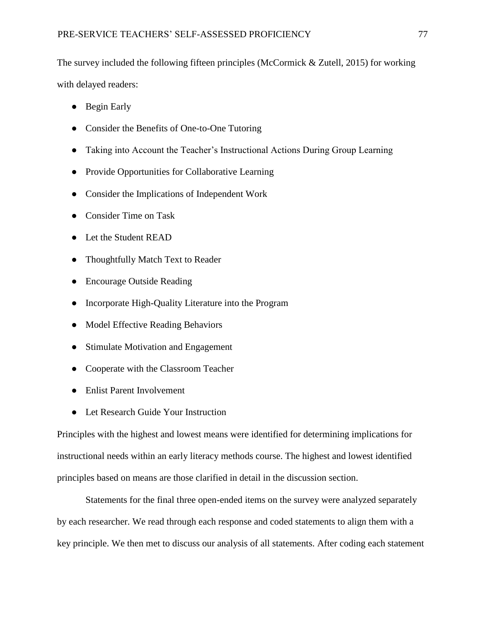The survey included the following fifteen principles (McCormick & Zutell, 2015) for working with delayed readers:

- Begin Early
- Consider the Benefits of One-to-One Tutoring
- Taking into Account the Teacher's Instructional Actions During Group Learning
- Provide Opportunities for Collaborative Learning
- Consider the Implications of Independent Work
- Consider Time on Task
- Let the Student READ
- Thoughtfully Match Text to Reader
- Encourage Outside Reading
- Incorporate High-Quality Literature into the Program
- Model Effective Reading Behaviors
- Stimulate Motivation and Engagement
- Cooperate with the Classroom Teacher
- Enlist Parent Involvement
- Let Research Guide Your Instruction

Principles with the highest and lowest means were identified for determining implications for instructional needs within an early literacy methods course. The highest and lowest identified principles based on means are those clarified in detail in the discussion section.

Statements for the final three open-ended items on the survey were analyzed separately by each researcher. We read through each response and coded statements to align them with a key principle. We then met to discuss our analysis of all statements. After coding each statement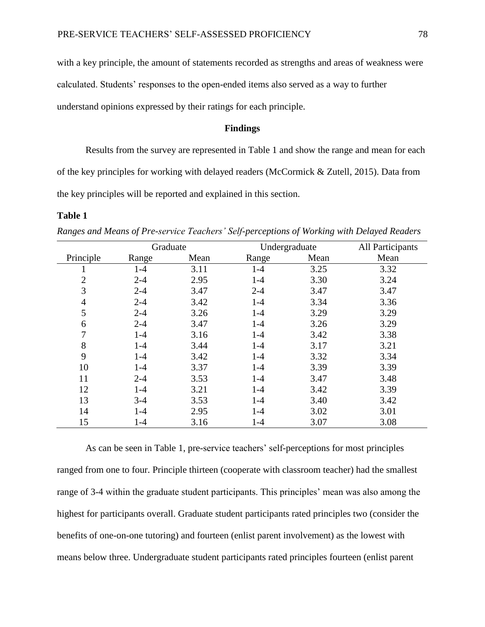with a key principle, the amount of statements recorded as strengths and areas of weakness were calculated. Students' responses to the open-ended items also served as a way to further understand opinions expressed by their ratings for each principle.

# **Findings**

Results from the survey are represented in Table 1 and show the range and mean for each of the key principles for working with delayed readers (McCormick & Zutell, 2015). Data from the key principles will be reported and explained in this section.

#### **Table 1**

|                | Graduate |      | Undergraduate |      | All Participants |
|----------------|----------|------|---------------|------|------------------|
| Principle      | Range    | Mean | Range         | Mean | Mean             |
| T              | $1-4$    | 3.11 | $1-4$         | 3.25 | 3.32             |
| $\overline{2}$ | $2 - 4$  | 2.95 | $1 - 4$       | 3.30 | 3.24             |
| 3              | $2 - 4$  | 3.47 | $2 - 4$       | 3.47 | 3.47             |
| $\overline{4}$ | $2 - 4$  | 3.42 | $1-4$         | 3.34 | 3.36             |
| 5              | $2 - 4$  | 3.26 | $1-4$         | 3.29 | 3.29             |
| 6              | $2 - 4$  | 3.47 | $1 - 4$       | 3.26 | 3.29             |
| 7              | $1 - 4$  | 3.16 | $1 - 4$       | 3.42 | 3.38             |
| 8              | $1-4$    | 3.44 | $1-4$         | 3.17 | 3.21             |
| 9              | $1-4$    | 3.42 | $1 - 4$       | 3.32 | 3.34             |
| 10             | $1-4$    | 3.37 | $1 - 4$       | 3.39 | 3.39             |
| 11             | $2 - 4$  | 3.53 | $1-4$         | 3.47 | 3.48             |
| 12             | $1 - 4$  | 3.21 | $1 - 4$       | 3.42 | 3.39             |
| 13             | $3-4$    | 3.53 | $1 - 4$       | 3.40 | 3.42             |
| 14             | $1-4$    | 2.95 | $1 - 4$       | 3.02 | 3.01             |
| 15             | $1 - 4$  | 3.16 | $1 - 4$       | 3.07 | 3.08             |

*Ranges and Means of Pre-service Teachers' Self-perceptions of Working with Delayed Readers*

As can be seen in Table 1, pre-service teachers' self-perceptions for most principles ranged from one to four. Principle thirteen (cooperate with classroom teacher) had the smallest range of 3-4 within the graduate student participants. This principles' mean was also among the highest for participants overall. Graduate student participants rated principles two (consider the benefits of one-on-one tutoring) and fourteen (enlist parent involvement) as the lowest with means below three. Undergraduate student participants rated principles fourteen (enlist parent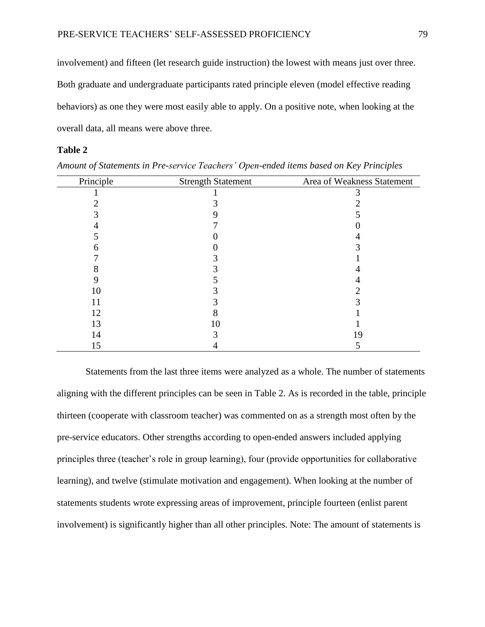involvement) and fifteen (let research guide instruction) the lowest with means just over three. Both graduate and undergraduate participants rated principle eleven (model effective reading behaviors) as one they were most easily able to apply. On a positive note, when looking at the overall data, all means were above three.

# **Table 2**

| Principle | <b>Strength Statement</b> | Area of Weakness Statement |
|-----------|---------------------------|----------------------------|
|           |                           |                            |
|           |                           |                            |
|           |                           |                            |
|           |                           |                            |
|           |                           |                            |
|           |                           |                            |
|           |                           |                            |
|           |                           |                            |
|           |                           |                            |
| 10        |                           |                            |
| 11        |                           |                            |
| 12        |                           |                            |
| 13        | I ()                      |                            |
| 14        |                           |                            |
| 15        |                           |                            |

*Amount of Statements in Pre-service Teachers' Open-ended items based on Key Principles*

Statements from the last three items were analyzed as a whole. The number of statements aligning with the different principles can be seen in Table 2. As is recorded in the table, principle thirteen (cooperate with classroom teacher) was commented on as a strength most often by the pre-service educators. Other strengths according to open-ended answers included applying principles three (teacher's role in group learning), four (provide opportunities for collaborative learning), and twelve (stimulate motivation and engagement). When looking at the number of statements students wrote expressing areas of improvement, principle fourteen (enlist parent involvement) is significantly higher than all other principles. Note: The amount of statements is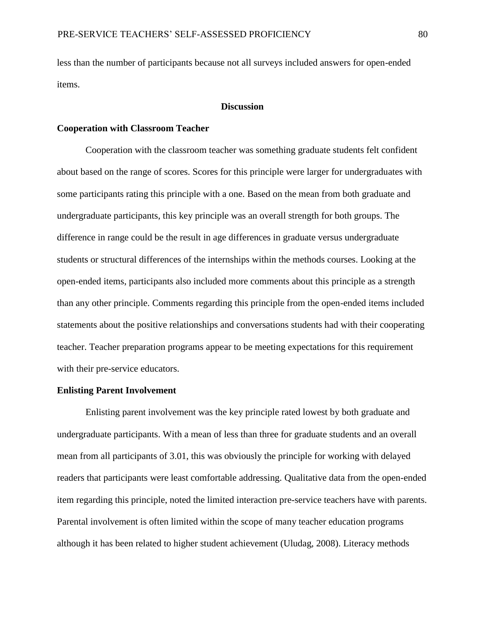less than the number of participants because not all surveys included answers for open-ended items.

#### **Discussion**

## **Cooperation with Classroom Teacher**

Cooperation with the classroom teacher was something graduate students felt confident about based on the range of scores. Scores for this principle were larger for undergraduates with some participants rating this principle with a one. Based on the mean from both graduate and undergraduate participants, this key principle was an overall strength for both groups. The difference in range could be the result in age differences in graduate versus undergraduate students or structural differences of the internships within the methods courses. Looking at the open-ended items, participants also included more comments about this principle as a strength than any other principle. Comments regarding this principle from the open-ended items included statements about the positive relationships and conversations students had with their cooperating teacher. Teacher preparation programs appear to be meeting expectations for this requirement with their pre-service educators.

#### **Enlisting Parent Involvement**

Enlisting parent involvement was the key principle rated lowest by both graduate and undergraduate participants. With a mean of less than three for graduate students and an overall mean from all participants of 3.01, this was obviously the principle for working with delayed readers that participants were least comfortable addressing. Qualitative data from the open-ended item regarding this principle, noted the limited interaction pre-service teachers have with parents. Parental involvement is often limited within the scope of many teacher education programs although it has been related to higher student achievement (Uludag, 2008). Literacy methods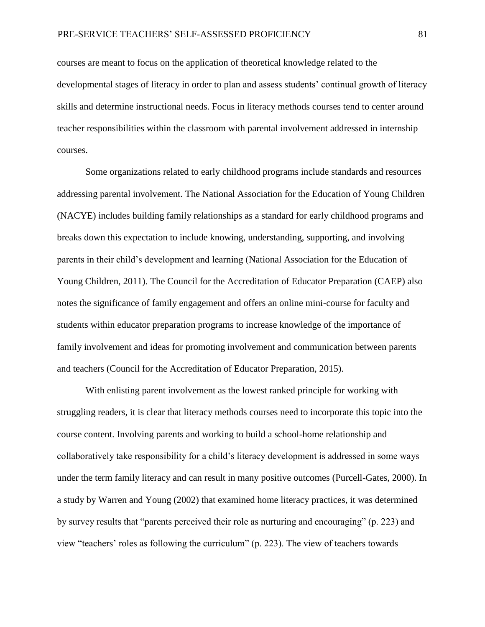courses are meant to focus on the application of theoretical knowledge related to the developmental stages of literacy in order to plan and assess students' continual growth of literacy skills and determine instructional needs. Focus in literacy methods courses tend to center around teacher responsibilities within the classroom with parental involvement addressed in internship courses.

Some organizations related to early childhood programs include standards and resources addressing parental involvement. The National Association for the Education of Young Children (NACYE) includes building family relationships as a standard for early childhood programs and breaks down this expectation to include knowing, understanding, supporting, and involving parents in their child's development and learning (National Association for the Education of Young Children, 2011). The Council for the Accreditation of Educator Preparation (CAEP) also notes the significance of family engagement and offers an online mini-course for faculty and students within educator preparation programs to increase knowledge of the importance of family involvement and ideas for promoting involvement and communication between parents and teachers (Council for the Accreditation of Educator Preparation, 2015).

With enlisting parent involvement as the lowest ranked principle for working with struggling readers, it is clear that literacy methods courses need to incorporate this topic into the course content. Involving parents and working to build a school-home relationship and collaboratively take responsibility for a child's literacy development is addressed in some ways under the term family literacy and can result in many positive outcomes (Purcell-Gates, 2000). In a study by Warren and Young (2002) that examined home literacy practices, it was determined by survey results that "parents perceived their role as nurturing and encouraging" (p. 223) and view "teachers' roles as following the curriculum" (p. 223). The view of teachers towards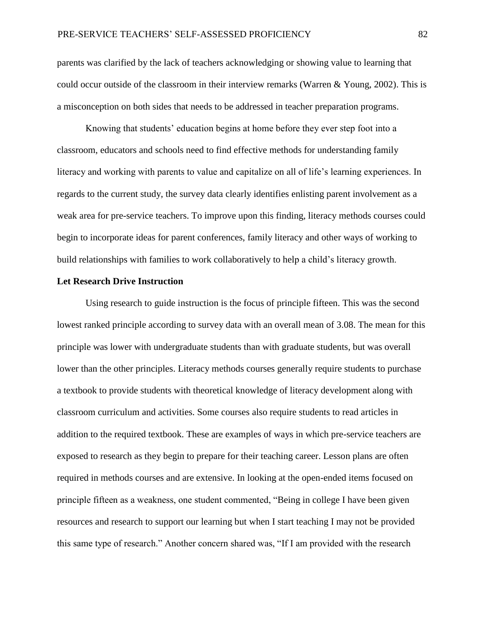parents was clarified by the lack of teachers acknowledging or showing value to learning that could occur outside of the classroom in their interview remarks (Warren & Young, 2002). This is a misconception on both sides that needs to be addressed in teacher preparation programs.

Knowing that students' education begins at home before they ever step foot into a classroom, educators and schools need to find effective methods for understanding family literacy and working with parents to value and capitalize on all of life's learning experiences. In regards to the current study, the survey data clearly identifies enlisting parent involvement as a weak area for pre-service teachers. To improve upon this finding, literacy methods courses could begin to incorporate ideas for parent conferences, family literacy and other ways of working to build relationships with families to work collaboratively to help a child's literacy growth.

#### **Let Research Drive Instruction**

Using research to guide instruction is the focus of principle fifteen. This was the second lowest ranked principle according to survey data with an overall mean of 3.08. The mean for this principle was lower with undergraduate students than with graduate students, but was overall lower than the other principles. Literacy methods courses generally require students to purchase a textbook to provide students with theoretical knowledge of literacy development along with classroom curriculum and activities. Some courses also require students to read articles in addition to the required textbook. These are examples of ways in which pre-service teachers are exposed to research as they begin to prepare for their teaching career. Lesson plans are often required in methods courses and are extensive. In looking at the open-ended items focused on principle fifteen as a weakness, one student commented, "Being in college I have been given resources and research to support our learning but when I start teaching I may not be provided this same type of research." Another concern shared was, "If I am provided with the research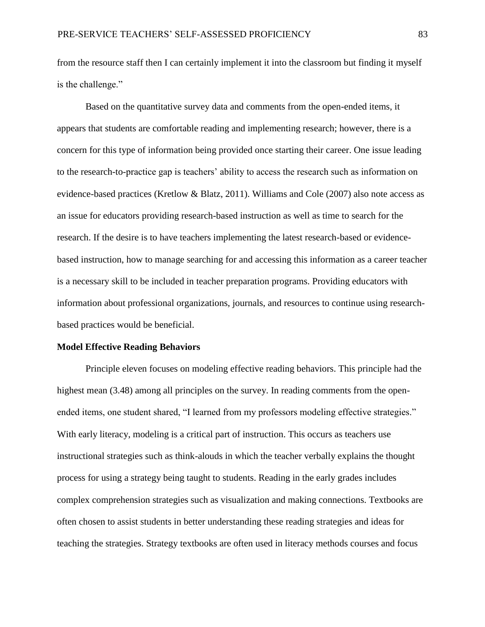from the resource staff then I can certainly implement it into the classroom but finding it myself is the challenge."

Based on the quantitative survey data and comments from the open-ended items, it appears that students are comfortable reading and implementing research; however, there is a concern for this type of information being provided once starting their career. One issue leading to the research-to-practice gap is teachers' ability to access the research such as information on evidence-based practices (Kretlow & Blatz, 2011). Williams and Cole (2007) also note access as an issue for educators providing research-based instruction as well as time to search for the research. If the desire is to have teachers implementing the latest research-based or evidencebased instruction, how to manage searching for and accessing this information as a career teacher is a necessary skill to be included in teacher preparation programs. Providing educators with information about professional organizations, journals, and resources to continue using researchbased practices would be beneficial.

#### **Model Effective Reading Behaviors**

Principle eleven focuses on modeling effective reading behaviors. This principle had the highest mean (3.48) among all principles on the survey. In reading comments from the openended items, one student shared, "I learned from my professors modeling effective strategies." With early literacy, modeling is a critical part of instruction. This occurs as teachers use instructional strategies such as think-alouds in which the teacher verbally explains the thought process for using a strategy being taught to students. Reading in the early grades includes complex comprehension strategies such as visualization and making connections. Textbooks are often chosen to assist students in better understanding these reading strategies and ideas for teaching the strategies. Strategy textbooks are often used in literacy methods courses and focus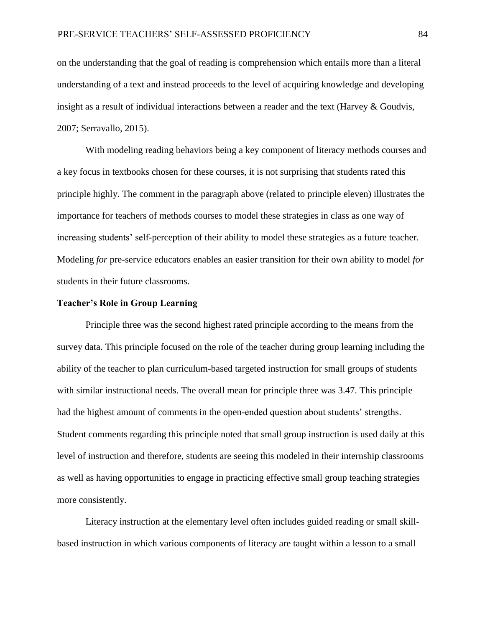on the understanding that the goal of reading is comprehension which entails more than a literal understanding of a text and instead proceeds to the level of acquiring knowledge and developing insight as a result of individual interactions between a reader and the text (Harvey & Goudvis, 2007; Serravallo, 2015).

With modeling reading behaviors being a key component of literacy methods courses and a key focus in textbooks chosen for these courses, it is not surprising that students rated this principle highly. The comment in the paragraph above (related to principle eleven) illustrates the importance for teachers of methods courses to model these strategies in class as one way of increasing students' self-perception of their ability to model these strategies as a future teacher. Modeling *for* pre-service educators enables an easier transition for their own ability to model *for*  students in their future classrooms.

# **Teacher's Role in Group Learning**

Principle three was the second highest rated principle according to the means from the survey data. This principle focused on the role of the teacher during group learning including the ability of the teacher to plan curriculum-based targeted instruction for small groups of students with similar instructional needs. The overall mean for principle three was 3.47. This principle had the highest amount of comments in the open-ended question about students' strengths. Student comments regarding this principle noted that small group instruction is used daily at this level of instruction and therefore, students are seeing this modeled in their internship classrooms as well as having opportunities to engage in practicing effective small group teaching strategies more consistently.

Literacy instruction at the elementary level often includes guided reading or small skillbased instruction in which various components of literacy are taught within a lesson to a small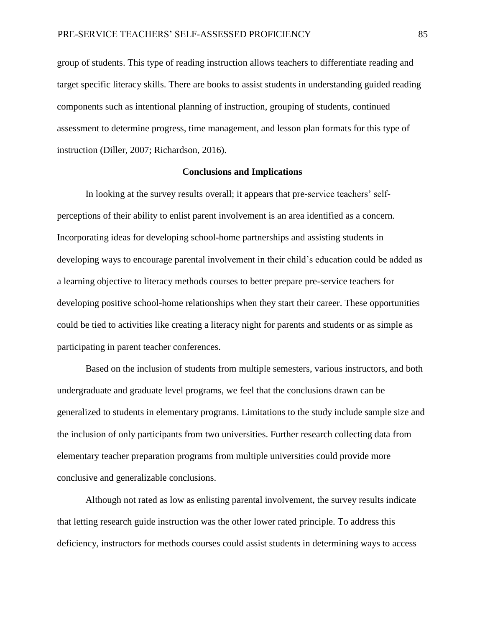group of students. This type of reading instruction allows teachers to differentiate reading and target specific literacy skills. There are books to assist students in understanding guided reading components such as intentional planning of instruction, grouping of students, continued assessment to determine progress, time management, and lesson plan formats for this type of instruction (Diller, 2007; Richardson, 2016).

# **Conclusions and Implications**

In looking at the survey results overall; it appears that pre-service teachers' selfperceptions of their ability to enlist parent involvement is an area identified as a concern. Incorporating ideas for developing school-home partnerships and assisting students in developing ways to encourage parental involvement in their child's education could be added as a learning objective to literacy methods courses to better prepare pre-service teachers for developing positive school-home relationships when they start their career. These opportunities could be tied to activities like creating a literacy night for parents and students or as simple as participating in parent teacher conferences.

Based on the inclusion of students from multiple semesters, various instructors, and both undergraduate and graduate level programs, we feel that the conclusions drawn can be generalized to students in elementary programs. Limitations to the study include sample size and the inclusion of only participants from two universities. Further research collecting data from elementary teacher preparation programs from multiple universities could provide more conclusive and generalizable conclusions.

Although not rated as low as enlisting parental involvement, the survey results indicate that letting research guide instruction was the other lower rated principle. To address this deficiency, instructors for methods courses could assist students in determining ways to access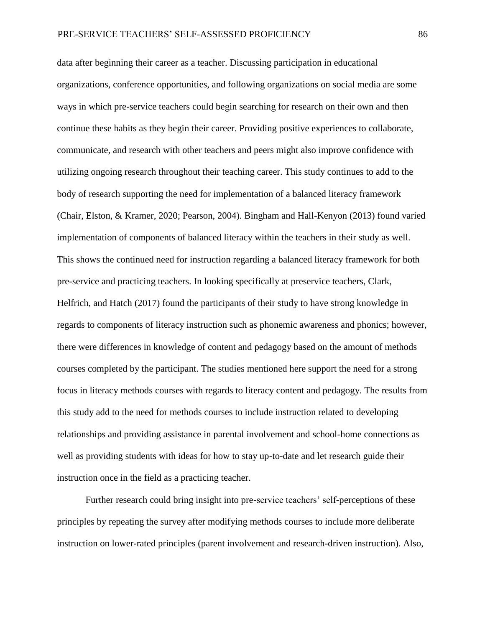data after beginning their career as a teacher. Discussing participation in educational organizations, conference opportunities, and following organizations on social media are some ways in which pre-service teachers could begin searching for research on their own and then continue these habits as they begin their career. Providing positive experiences to collaborate, communicate, and research with other teachers and peers might also improve confidence with utilizing ongoing research throughout their teaching career. This study continues to add to the body of research supporting the need for implementation of a balanced literacy framework (Chair, Elston, & Kramer, 2020; Pearson, 2004). Bingham and Hall-Kenyon (2013) found varied implementation of components of balanced literacy within the teachers in their study as well. This shows the continued need for instruction regarding a balanced literacy framework for both pre-service and practicing teachers. In looking specifically at preservice teachers, Clark, Helfrich, and Hatch (2017) found the participants of their study to have strong knowledge in regards to components of literacy instruction such as phonemic awareness and phonics; however, there were differences in knowledge of content and pedagogy based on the amount of methods courses completed by the participant. The studies mentioned here support the need for a strong focus in literacy methods courses with regards to literacy content and pedagogy. The results from this study add to the need for methods courses to include instruction related to developing relationships and providing assistance in parental involvement and school-home connections as well as providing students with ideas for how to stay up-to-date and let research guide their instruction once in the field as a practicing teacher.

Further research could bring insight into pre-service teachers' self-perceptions of these principles by repeating the survey after modifying methods courses to include more deliberate instruction on lower-rated principles (parent involvement and research-driven instruction). Also,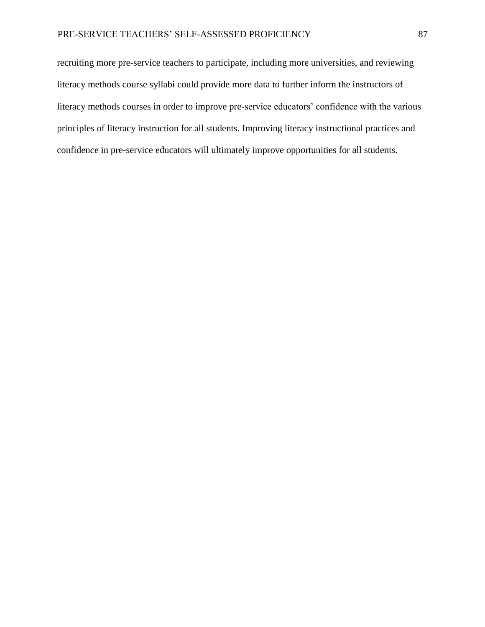recruiting more pre-service teachers to participate, including more universities, and reviewing literacy methods course syllabi could provide more data to further inform the instructors of literacy methods courses in order to improve pre-service educators' confidence with the various principles of literacy instruction for all students. Improving literacy instructional practices and confidence in pre-service educators will ultimately improve opportunities for all students.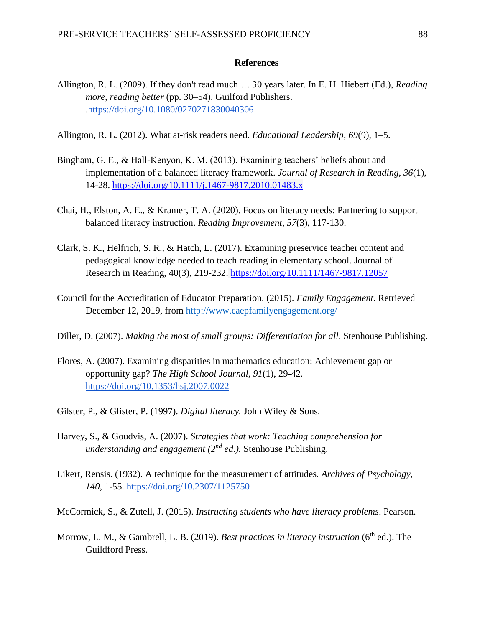# **References**

- Allington, R. L. (2009). If they don't read much … 30 years later. In E. H. Hiebert (Ed.), *Reading more, reading better* (pp. 30–54). Guilford Publishers. [.https://doi.org/10.1080/0270271830040306](https://doi.org/10.1080/0270271830040306)
- Allington, R. L. (2012). What at-risk readers need. *Educational Leadership*, *69*(9), 1–5.
- Bingham, G. E., & Hall-Kenyon, K. M. (2013). Examining teachers' beliefs about and implementation of a balanced literacy framework. *Journal of Research in Reading, 36*(1), 14-28. [https://doi.org/10.1111/j.1467-9817.2010.01483.x](https://doi-org.winthropuniversity.idm.oclc.org/10.1111/j.1467-9817.2010.01483.x)
- Chai, H., Elston, A. E., & Kramer, T. A. (2020). Focus on literacy needs: Partnering to support balanced literacy instruction. *Reading Improvement, 57*(3), 117-130.
- Clark, S. K., Helfrich, S. R., & Hatch, L. (2017). Examining preservice teacher content and pedagogical knowledge needed to teach reading in elementary school. Journal of Research in Reading, 40(3), 219-232. <https://doi.org/10.1111/1467-9817.12057>
- Council for the Accreditation of Educator Preparation. (2015). *Family Engagement*. Retrieved December 12, 2019, from <http://www.caepfamilyengagement.org/>
- Diller, D. (2007). *Making the most of small groups: Differentiation for all*. Stenhouse Publishing.
- Flores, A. (2007). Examining disparities in mathematics education: Achievement gap or opportunity gap? *The High School Journal*, *91*(1), 29-42. <https://doi.org/10.1353/hsj.2007.0022>
- Gilster, P., & Glister, P. (1997). *Digital literacy.* John Wiley & Sons.
- Harvey, S., & Goudvis, A. (2007). *Strategies that work: Teaching comprehension for understanding and engagement (2nd ed.).* Stenhouse Publishing.
- Likert, Rensis. (1932). A technique for the measurement of attitudes*. Archives of Psychology, 140*, 1-55.<https://doi.org/10.2307/1125750>
- McCormick, S., & Zutell, J. (2015). *Instructing students who have literacy problems*. Pearson.
- Morrow, L. M., & Gambrell, L. B. (2019). *Best practices in literacy instruction* (6<sup>th</sup> ed.). The Guildford Press.